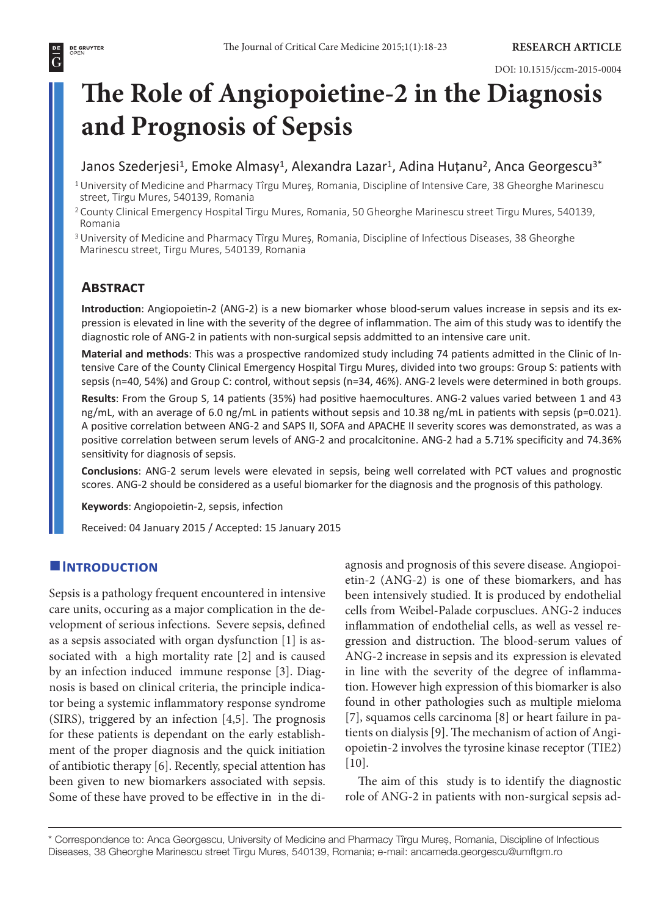#### DOI: 10.1515/jccm-2015-0004

# **The Role of Angiopoietine-2 in the Diagnosis and Prognosis of Sepsis**

# Janos Szederjesi<sup>1</sup>, Emoke Almasy<sup>1</sup>, Alexandra Lazar<sup>1</sup>, Adina Huțanu<sup>2</sup>, Anca Georgescu<sup>3\*</sup>

- <sup>1</sup>University of Medicine and Pharmacy Tîrgu Mureş, Romania, Discipline of Intensive Care, 38 Gheorghe Marinescu street, Tirgu Mures, 540139, Romania
- <sup>2</sup>County Clinical Emergency Hospital Tirgu Mures, Romania, 50 Gheorghe Marinescu street Tirgu Mures, 540139, Romania
- 3 University of Medicine and Pharmacy Tîrgu Mureş, Romania, Discipline of Infectious Diseases, 38 Gheorghe Marinescu street, Tirgu Mures, 540139, Romania

# **Abstract**

**Introduction**: Angiopoietin-2 (ANG-2) is a new biomarker whose blood-serum values increase in sepsis and its expression is elevated in line with the severity of the degree of inflammation. The aim of this study was to identify the diagnostic role of ANG-2 in patients with non-surgical sepsis addmitted to an intensive care unit.

**Material and methods**: This was a prospective randomized study including 74 patients admitted in the Clinic of Intensive Care of the County Clinical Emergency Hospital Tirgu Mureș, divided into two groups: Group S: patients with sepsis (n=40, 54%) and Group C: control, without sepsis (n=34, 46%). ANG-2 levels were determined in both groups.

**Results**: From the Group S, 14 patients (35%) had positive haemocultures. ANG-2 values varied between 1 and 43 ng/mL, with an average of 6.0 ng/mL in patients without sepsis and 10.38 ng/mL in patients with sepsis (p=0.021). A positive correlation between ANG-2 and SAPS II, SOFA and APACHE II severity scores was demonstrated, as was a positive correlation between serum levels of ANG-2 and procalcitonine. ANG-2 had a 5.71% specificity and 74.36% sensitivity for diagnosis of sepsis.

**Conclusions**: ANG-2 serum levels were elevated in sepsis, being well correlated with PCT values and prognostic scores. ANG-2 should be considered as a useful biomarker for the diagnosis and the prognosis of this pathology.

**Keywords**: Angiopoietin-2, sepsis, infection

Received: 04 January 2015 / Accepted: 15 January 2015

# $I$ **INTRODUCTION**

Sepsis is a pathology frequent encountered in intensive care units, occuring as a major complication in the development of serious infections. Severe sepsis, defined as a sepsis associated with organ dysfunction [1] is associated with a high mortality rate [2] and is caused by an infection induced immune response [3]. Diagnosis is based on clinical criteria, the principle indicator being a systemic inflammatory response syndrome (SIRS), triggered by an infection [4,5]. The prognosis for these patients is dependant on the early establishment of the proper diagnosis and the quick initiation of antibiotic therapy [6]. Recently, special attention has been given to new biomarkers associated with sepsis. Some of these have proved to be effective in in the diagnosis and prognosis of this severe disease. Angiopoietin-2 (ANG-2) is one of these biomarkers, and has been intensively studied. It is produced by endothelial cells from Weibel-Palade corpusclues. ANG-2 induces inflammation of endothelial cells, as well as vessel regression and distruction. The blood-serum values of ANG-2 increase in sepsis and its expression is elevated in line with the severity of the degree of inflammation. However high expression of this biomarker is also found in other pathologies such as multiple mieloma [7], squamos cells carcinoma [8] or heart failure in patients on dialysis [9]. The mechanism of action of Angiopoietin-2 involves the tyrosine kinase receptor (TIE2) [10].

The aim of this study is to identify the diagnostic role of ANG-2 in patients with non-surgical sepsis ad-

\* Correspondence to: Anca Georgescu, University of Medicine and Pharmacy Tîrgu Mureş, Romania, Discipline of Infectious Diseases, 38 Gheorghe Marinescu street Tirgu Mures, 540139, Romania; e-mail: ancameda.georgescu@umftgm.ro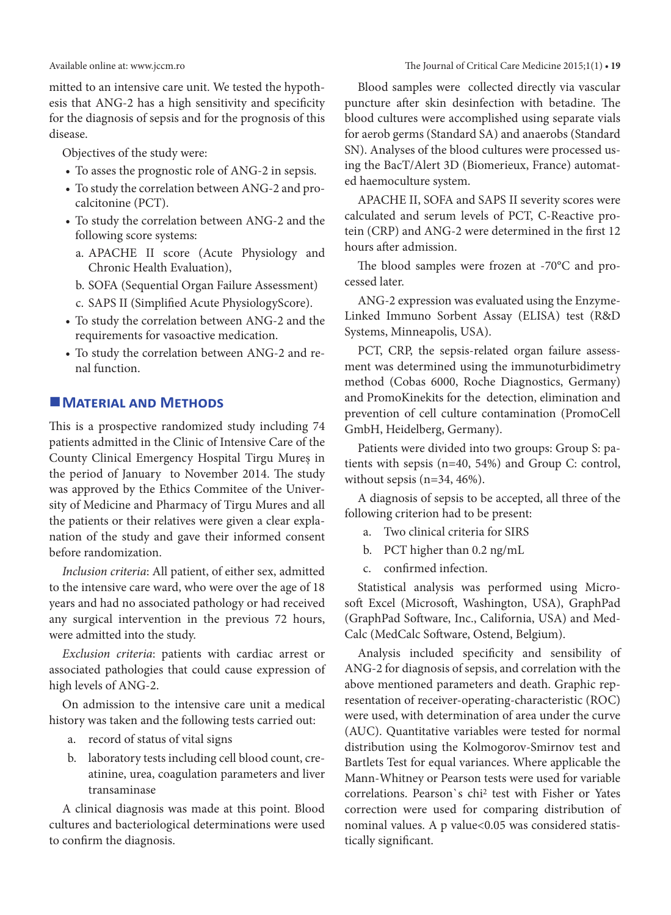mitted to an intensive care unit. We tested the hypothesis that ANG-2 has a high sensitivity and specificity for the diagnosis of sepsis and for the prognosis of this disease.

Objectives of the study were:

- To asses the prognostic role of ANG-2 in sepsis.
- To study the correlation between ANG-2 and procalcitonine (PCT).
- To study the correlation between ANG-2 and the following score systems:
	- a. APACHE II score (Acute Physiology and Chronic Health Evaluation),
	- b. SOFA (Sequential Organ Failure Assessment)
	- c. SAPS II (Simplified Acute PhysiologyScore).
- To study the correlation between ANG-2 and the requirements for vasoactive medication.
- To study the correlation between ANG-2 and renal function.

# **MATERIAL AND METHODS**

This is a prospective randomized study including 74 patients admitted in the Clinic of Intensive Care of the County Clinical Emergency Hospital Tirgu Mureș in the period of January to November 2014. The study was approved by the Ethics Commitee of the University of Medicine and Pharmacy of Tirgu Mures and all the patients or their relatives were given a clear explanation of the study and gave their informed consent before randomization.

*Inclusion criteria*: All patient, of either sex, admitted to the intensive care ward, who were over the age of 18 years and had no associated pathology or had received any surgical intervention in the previous 72 hours, were admitted into the study.

*Exclusion criteria*: patients with cardiac arrest or associated pathologies that could cause expression of high levels of ANG-2.

On admission to the intensive care unit a medical history was taken and the following tests carried out:

- a. record of status of vital signs
- b. laboratory tests including cell blood count, creatinine, urea, coagulation parameters and liver transaminase

A clinical diagnosis was made at this point. Blood cultures and bacteriological determinations were used to confirm the diagnosis.

Blood samples were collected directly via vascular puncture after skin desinfection with betadine. The blood cultures were accomplished using separate vials for aerob germs (Standard SA) and anaerobs (Standard SN). Analyses of the blood cultures were processed using the BacT/Alert 3D (Biomerieux, France) automated haemoculture system.

APACHE II, SOFA and SAPS II severity scores were calculated and serum levels of PCT, C-Reactive protein (CRP) and ANG-2 were determined in the first 12 hours after admission.

The blood samples were frozen at -70°C and processed later.

ANG-2 expression was evaluated using the Enzyme-Linked Immuno Sorbent Assay (ELISA) test (R&D Systems, Minneapolis, USA).

PCT, CRP, the sepsis-related organ failure assessment was determined using the immunoturbidimetry method (Cobas 6000, Roche Diagnostics, Germany) and PromoKinekits for the detection, elimination and prevention of cell culture contamination (PromoCell GmbH, Heidelberg, Germany).

Patients were divided into two groups: Group S: patients with sepsis (n=40, 54%) and Group C: control, without sepsis (n=34, 46%).

A diagnosis of sepsis to be accepted, all three of the following criterion had to be present:

- a. Two clinical criteria for SIRS
- b. PCT higher than 0.2 ng/mL
- c. confirmed infection.

Statistical analysis was performed using Microsoft Excel (Microsoft, Washington, USA), GraphPad (GraphPad Software, Inc., California, USA) and Med-Calc (MedCalc Software, Ostend, Belgium).

Analysis included specificity and sensibility of ANG-2 for diagnosis of sepsis, and correlation with the above mentioned parameters and death. Graphic representation of receiver-operating-characteristic (ROC) were used, with determination of area under the curve (AUC). Quantitative variables were tested for normal distribution using the Kolmogorov-Smirnov test and Bartlets Test for equal variances. Where applicable the Mann-Whitney or Pearson tests were used for variable correlations. Pearson`s chi2 test with Fisher or Yates correction were used for comparing distribution of nominal values. A p value<0.05 was considered statistically significant.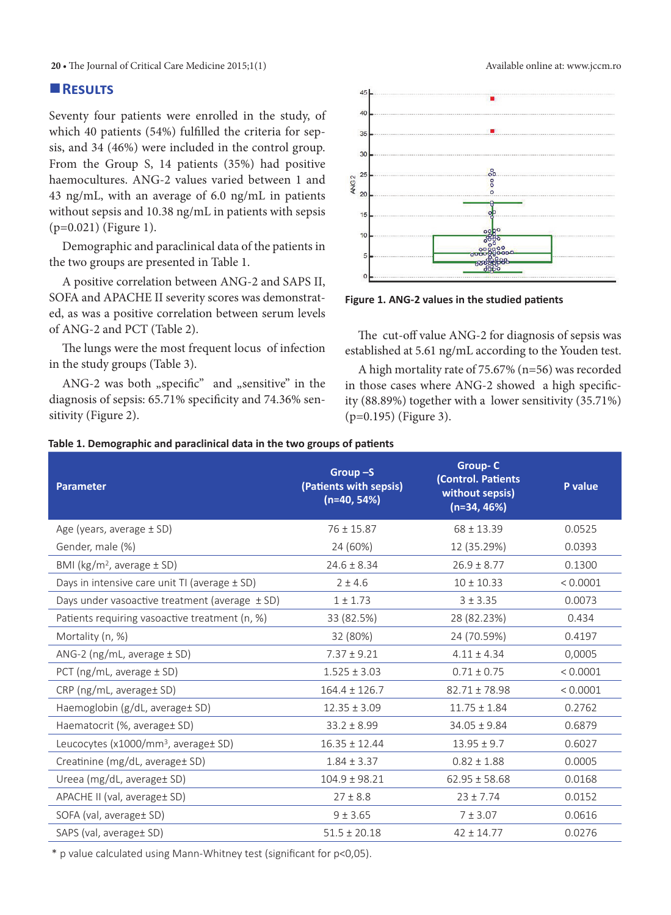**20 •** The Journal of Critical Care Medicine 2015;1(1) Available online at: www.jccm.ro

# **Results**

Seventy four patients were enrolled in the study, of which 40 patients (54%) fulfilled the criteria for sepsis, and 34 (46%) were included in the control group. From the Group S, 14 patients (35%) had positive haemocultures. ANG-2 values varied between 1 and 43 ng/mL, with an average of 6.0 ng/mL in patients without sepsis and 10.38 ng/mL in patients with sepsis (p=0.021) (Figure 1).

Demographic and paraclinical data of the patients in the two groups are presented in Table 1.

A positive correlation between ANG-2 and SAPS II, SOFA and APACHE II severity scores was demonstrated, as was a positive correlation between serum levels of ANG-2 and PCT (Table 2).

The lungs were the most frequent locus of infection in the study groups (Table 3).

ANG-2 was both "specific" and "sensitive" in the diagnosis of sepsis: 65.71% specificity and 74.36% sensitivity (Figure 2).





**Figure 1. ANG-2 values in the studied patients** 

The cut-off value ANG-2 for diagnosis of sepsis was established at 5.61 ng/mL according to the Youden test.

A high mortality rate of 75.67% (n=56) was recorded in those cases where ANG-2 showed a high specificity (88.89%) together with a lower sensitivity (35.71%) (p=0.195) (Figure 3).

#### **Table 1. Demographic and paraclinical data in the two groups of patients**

| <b>Parameter</b>                                   | Group $-S$<br>(Patients with sepsis)<br>$(n=40, 54%)$ | <b>Group-C</b><br>(Control. Patients<br>without sepsis)<br>$(n=34, 46%)$ | P value  |
|----------------------------------------------------|-------------------------------------------------------|--------------------------------------------------------------------------|----------|
| Age (years, average $\pm$ SD)                      | $76 \pm 15.87$                                        | $68 \pm 13.39$                                                           | 0.0525   |
| Gender, male (%)                                   | 24 (60%)                                              | 12 (35.29%)                                                              | 0.0393   |
| BMI ( $\text{kg/m}^2$ , average $\pm$ SD)          | $24.6 \pm 8.34$                                       | $26.9 \pm 8.77$                                                          | 0.1300   |
| Days in intensive care unit TI (average $\pm$ SD)  | $2 \pm 4.6$                                           | $10 \pm 10.33$                                                           | < 0.0001 |
| Days under vasoactive treatment (average $\pm$ SD) | $1 \pm 1.73$                                          | $3 + 3.35$                                                               | 0.0073   |
| Patients requiring vasoactive treatment (n, %)     | 33 (82.5%)                                            | 28 (82.23%)                                                              | 0.434    |
| Mortality (n, %)                                   | 32 (80%)                                              | 24 (70.59%)                                                              | 0.4197   |
| ANG-2 ( $ng/mL$ , average $± SD$ )                 | $7.37 \pm 9.21$                                       | $4.11 \pm 4.34$                                                          | 0,0005   |
| PCT ( $ng/mL$ , average $± SD$ )                   | $1.525 \pm 3.03$                                      | $0.71 \pm 0.75$                                                          | < 0.0001 |
| $CRP$ (ng/mL, average $SD$ )                       | $164.4 \pm 126.7$                                     | $82.71 \pm 78.98$                                                        | < 0.0001 |
| Haemoglobin (g/dL, average t SD)                   | $12.35 \pm 3.09$                                      | $11.75 \pm 1.84$                                                         | 0.2762   |
| Haematocrit (%, average± SD)                       | $33.2 \pm 8.99$                                       | $34.05 \pm 9.84$                                                         | 0.6879   |
| Leucocytes (x1000/mm <sup>3</sup> , average± SD)   | $16.35 \pm 12.44$                                     | $13.95 \pm 9.7$                                                          | 0.6027   |
| Creatinine (mg/dL, average± SD)                    | $1.84 \pm 3.37$                                       | $0.82 \pm 1.88$                                                          | 0.0005   |
| Ureea (mg/dL, average± SD)                         | $104.9 \pm 98.21$                                     | $62.95 \pm 58.68$                                                        | 0.0168   |
| APACHE II (val, average± SD)                       | $27 \pm 8.8$                                          | $23 \pm 7.74$                                                            | 0.0152   |
| SOFA (val, average ± SD)                           | 9 ± 3.65                                              | $7 + 3.07$                                                               | 0.0616   |
| SAPS (val, average± SD)                            | $51.5 \pm 20.18$                                      | $42 \pm 14.77$                                                           | 0.0276   |

\* p value calculated using Mann-Whitney test (significant for p<0,05).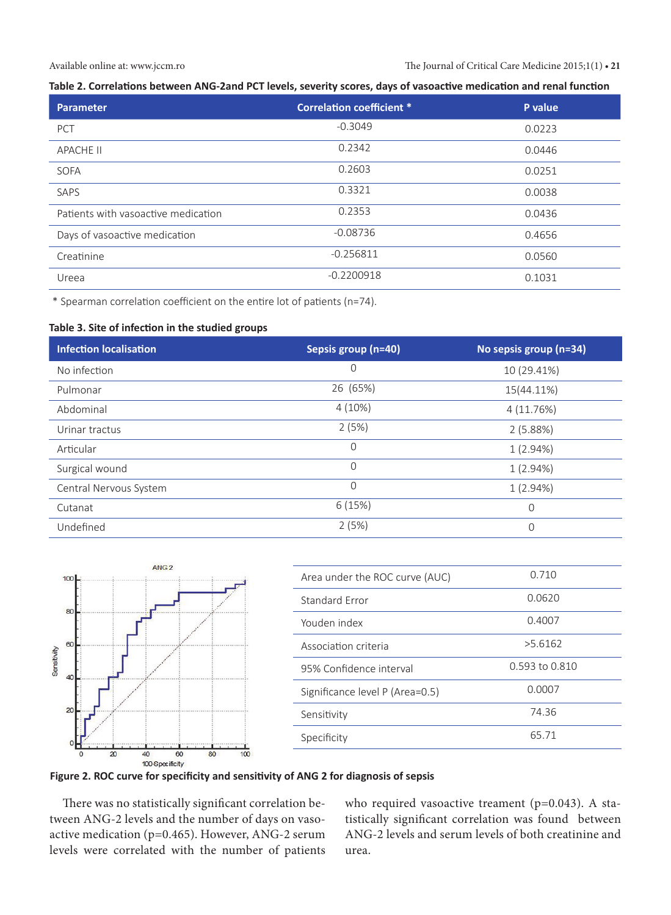#### Available online at: www.jccm.ro The Journal of Critical Care Medicine 2015;1(1) **• 21**

#### **Table 2. Correlations between ANG-2and PCT levels, severity scores, days of vasoactive medication and renal function**

| Parameter                           | <b>Correlation coefficient *</b> | P value |
|-------------------------------------|----------------------------------|---------|
| PCT                                 | $-0.3049$                        | 0.0223  |
| <b>APACHE II</b>                    | 0.2342                           | 0.0446  |
| SOFA                                | 0.2603                           | 0.0251  |
| SAPS                                | 0.3321                           | 0.0038  |
| Patients with vasoactive medication | 0.2353                           | 0.0436  |
| Days of vasoactive medication       | $-0.08736$                       | 0.4656  |
| Creatinine                          | $-0.256811$                      | 0.0560  |
| Ureea                               | $-0.2200918$                     | 0.1031  |

\* Spearman correlation coefficient on the entire lot of patients (n=74).

#### **Table 3. Site of infection in the studied groups**

| <b>Infection localisation</b> | Sepsis group (n=40) | No sepsis group (n=34) |
|-------------------------------|---------------------|------------------------|
| No infection                  | 0                   | 10 (29.41%)            |
| Pulmonar                      | 26 (65%)            | 15(44.11%)             |
| Abdominal                     | $4(10\%)$           | 4 (11.76%)             |
| Urinar tractus                | 2(5%)               | 2(5.88%)               |
| Articular                     | $\mathcal{O}$       | 1(2.94%)               |
| Surgical wound                | $\Omega$            | 1(2.94%)               |
| Central Nervous System        | $\Omega$            | 1(2.94%)               |
| Cutanat                       | 6(15%)              | $\mathbf 0$            |
| Undefined                     | 2(5%)               | $\Omega$               |



| Area under the ROC curve (AUC)  | 0.710          |
|---------------------------------|----------------|
| Standard Frror                  | 0.0620         |
| Youden index                    | 0.4007         |
| Association criteria            | >5.6162        |
| 95% Confidence interval         | 0.593 to 0.810 |
| Significance level P (Area=0.5) | 0.0007         |
| Sensitivity                     | 74.36          |
| Specificity                     | 65.71          |



There was no statistically significant correlation between ANG-2 levels and the number of days on vasoactive medication (p=0.465). However, ANG-2 serum levels were correlated with the number of patients who required vasoactive treament (p=0.043). A statistically significant correlation was found between ANG-2 levels and serum levels of both creatinine and urea.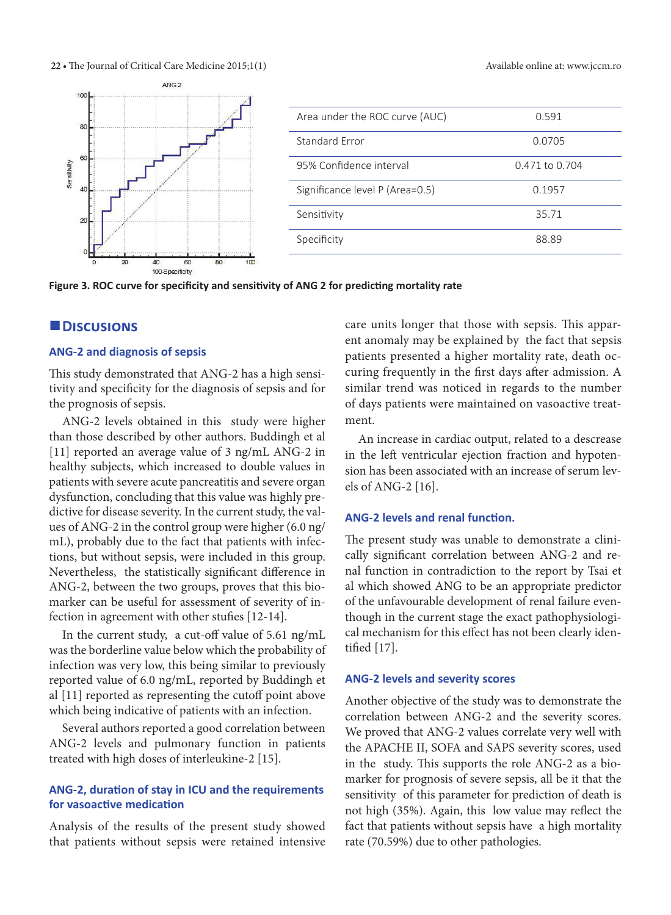22 • The Journal of Critical Care Medicine 2015;1(1) Available online at: www.jccm.ro



Area under the ROC curve (AUC) 0.591 Standard Error 0.0705 95% Confidence interval 0.471 to 0.704 Significance level P (Area=0.5) 0.1957 Sensitivity 35.71 Specificity 88.89

**Figure 3. ROC curve for specificity and sensitivity of ANG 2 for predicting mortality rate**

# **Discusions**

#### **ANG-2 and diagnosis of sepsis**

This study demonstrated that ANG-2 has a high sensitivity and specificity for the diagnosis of sepsis and for the prognosis of sepsis.

ANG-2 levels obtained in this study were higher than those described by other authors. Buddingh et al [11] reported an average value of 3 ng/mL ANG-2 in healthy subjects, which increased to double values in patients with severe acute pancreatitis and severe organ dysfunction, concluding that this value was highly predictive for disease severity. In the current study, the values of ANG-2 in the control group were higher (6.0 ng/ mL), probably due to the fact that patients with infections, but without sepsis, were included in this group. Nevertheless, the statistically significant difference in ANG-2, between the two groups, proves that this biomarker can be useful for assessment of severity of infection in agreement with other stufies [12-14].

In the current study, a cut-off value of 5.61 ng/mL was the borderline value below which the probability of infection was very low, this being similar to previously reported value of 6.0 ng/mL, reported by Buddingh et al [11] reported as representing the cutoff point above which being indicative of patients with an infection.

Several authors reported a good correlation between ANG-2 levels and pulmonary function in patients treated with high doses of interleukine-2 [15].

# **ANG-2, duration of stay in ICU and the requirements for vasoactive medication**

Analysis of the results of the present study showed that patients without sepsis were retained intensive care units longer that those with sepsis. This apparent anomaly may be explained by the fact that sepsis patients presented a higher mortality rate, death occuring frequently in the first days after admission. A similar trend was noticed in regards to the number of days patients were maintained on vasoactive treatment.

An increase in cardiac output, related to a descrease in the left ventricular ejection fraction and hypotension has been associated with an increase of serum levels of ANG-2 [16].

#### **ANG-2 levels and renal function.**

The present study was unable to demonstrate a clinically significant correlation between ANG-2 and renal function in contradiction to the report by Tsai et al which showed ANG to be an appropriate predictor of the unfavourable development of renal failure eventhough in the current stage the exact pathophysiological mechanism for this effect has not been clearly identified [17].

#### **ANG-2 levels and severity scores**

Another objective of the study was to demonstrate the correlation between ANG-2 and the severity scores. We proved that ANG-2 values correlate very well with the APACHE II, SOFA and SAPS severity scores, used in the study. This supports the role ANG-2 as a biomarker for prognosis of severe sepsis, all be it that the sensitivity of this parameter for prediction of death is not high (35%). Again, this low value may reflect the fact that patients without sepsis have a high mortality rate (70.59%) due to other pathologies.